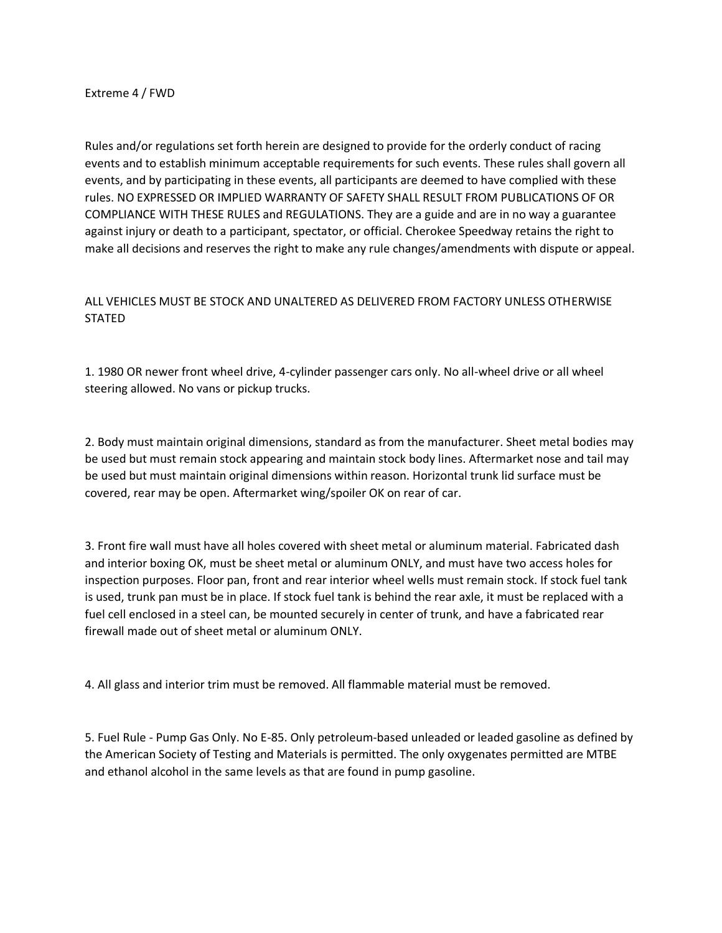Extreme 4 / FWD

Rules and/or regulations set forth herein are designed to provide for the orderly conduct of racing events and to establish minimum acceptable requirements for such events. These rules shall govern all events, and by participating in these events, all participants are deemed to have complied with these rules. NO EXPRESSED OR IMPLIED WARRANTY OF SAFETY SHALL RESULT FROM PUBLICATIONS OF OR COMPLIANCE WITH THESE RULES and REGULATIONS. They are a guide and are in no way a guarantee against injury or death to a participant, spectator, or official. Cherokee Speedway retains the right to make all decisions and reserves the right to make any rule changes/amendments with dispute or appeal.

# ALL VEHICLES MUST BE STOCK AND UNALTERED AS DELIVERED FROM FACTORY UNLESS OTHERWISE STATED

1. 1980 OR newer front wheel drive, 4-cylinder passenger cars only. No all-wheel drive or all wheel steering allowed. No vans or pickup trucks.

2. Body must maintain original dimensions, standard as from the manufacturer. Sheet metal bodies may be used but must remain stock appearing and maintain stock body lines. Aftermarket nose and tail may be used but must maintain original dimensions within reason. Horizontal trunk lid surface must be covered, rear may be open. Aftermarket wing/spoiler OK on rear of car.

3. Front fire wall must have all holes covered with sheet metal or aluminum material. Fabricated dash and interior boxing OK, must be sheet metal or aluminum ONLY, and must have two access holes for inspection purposes. Floor pan, front and rear interior wheel wells must remain stock. If stock fuel tank is used, trunk pan must be in place. If stock fuel tank is behind the rear axle, it must be replaced with a fuel cell enclosed in a steel can, be mounted securely in center of trunk, and have a fabricated rear firewall made out of sheet metal or aluminum ONLY.

4. All glass and interior trim must be removed. All flammable material must be removed.

5. Fuel Rule - Pump Gas Only. No E-85. Only petroleum-based unleaded or leaded gasoline as defined by the American Society of Testing and Materials is permitted. The only oxygenates permitted are MTBE and ethanol alcohol in the same levels as that are found in pump gasoline.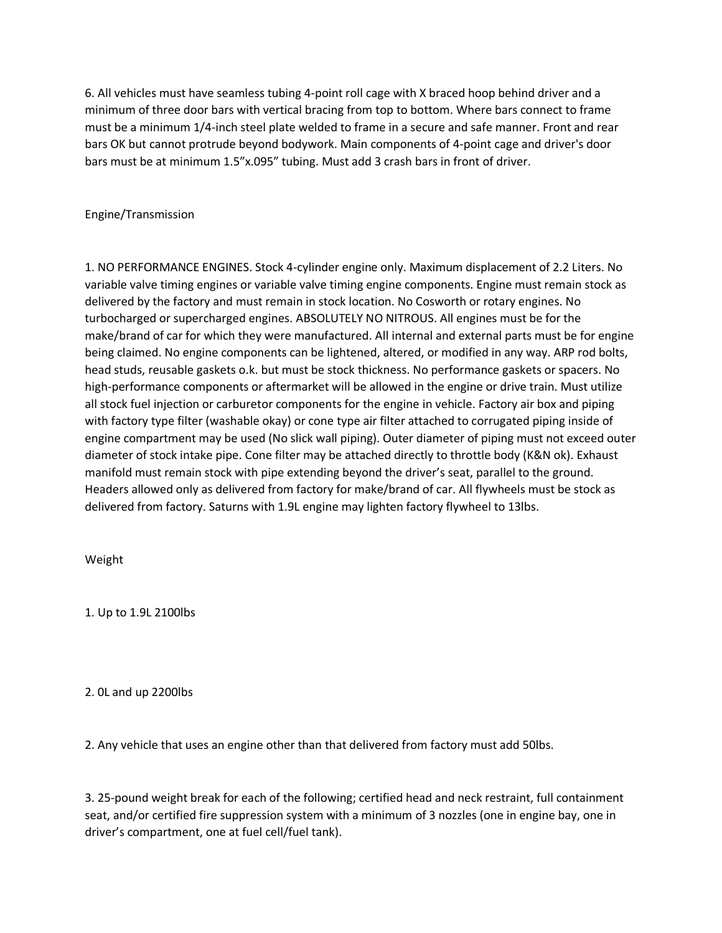6. All vehicles must have seamless tubing 4-point roll cage with X braced hoop behind driver and a minimum of three door bars with vertical bracing from top to bottom. Where bars connect to frame must be a minimum 1/4-inch steel plate welded to frame in a secure and safe manner. Front and rear bars OK but cannot protrude beyond bodywork. Main components of 4-point cage and driver's door bars must be at minimum 1.5"x.095" tubing. Must add 3 crash bars in front of driver.

Engine/Transmission

1. NO PERFORMANCE ENGINES. Stock 4-cylinder engine only. Maximum displacement of 2.2 Liters. No variable valve timing engines or variable valve timing engine components. Engine must remain stock as delivered by the factory and must remain in stock location. No Cosworth or rotary engines. No turbocharged or supercharged engines. ABSOLUTELY NO NITROUS. All engines must be for the make/brand of car for which they were manufactured. All internal and external parts must be for engine being claimed. No engine components can be lightened, altered, or modified in any way. ARP rod bolts, head studs, reusable gaskets o.k. but must be stock thickness. No performance gaskets or spacers. No high-performance components or aftermarket will be allowed in the engine or drive train. Must utilize all stock fuel injection or carburetor components for the engine in vehicle. Factory air box and piping with factory type filter (washable okay) or cone type air filter attached to corrugated piping inside of engine compartment may be used (No slick wall piping). Outer diameter of piping must not exceed outer diameter of stock intake pipe. Cone filter may be attached directly to throttle body (K&N ok). Exhaust manifold must remain stock with pipe extending beyond the driver's seat, parallel to the ground. Headers allowed only as delivered from factory for make/brand of car. All flywheels must be stock as delivered from factory. Saturns with 1.9L engine may lighten factory flywheel to 13lbs.

Weight

1. Up to 1.9L 2100lbs

2. 0L and up 2200lbs

2. Any vehicle that uses an engine other than that delivered from factory must add 50lbs.

3. 25-pound weight break for each of the following; certified head and neck restraint, full containment seat, and/or certified fire suppression system with a minimum of 3 nozzles (one in engine bay, one in driver's compartment, one at fuel cell/fuel tank).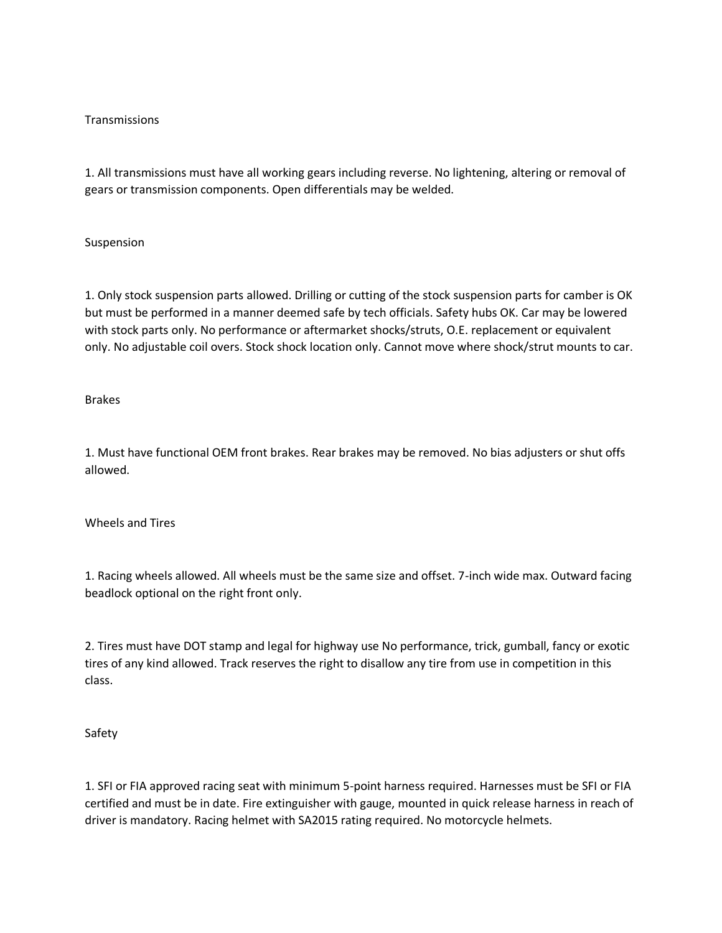## Transmissions

1. All transmissions must have all working gears including reverse. No lightening, altering or removal of gears or transmission components. Open differentials may be welded.

## Suspension

1. Only stock suspension parts allowed. Drilling or cutting of the stock suspension parts for camber is OK but must be performed in a manner deemed safe by tech officials. Safety hubs OK. Car may be lowered with stock parts only. No performance or aftermarket shocks/struts, O.E. replacement or equivalent only. No adjustable coil overs. Stock shock location only. Cannot move where shock/strut mounts to car.

## Brakes

1. Must have functional OEM front brakes. Rear brakes may be removed. No bias adjusters or shut offs allowed.

## Wheels and Tires

1. Racing wheels allowed. All wheels must be the same size and offset. 7-inch wide max. Outward facing beadlock optional on the right front only.

2. Tires must have DOT stamp and legal for highway use No performance, trick, gumball, fancy or exotic tires of any kind allowed. Track reserves the right to disallow any tire from use in competition in this class.

## Safety

1. SFI or FIA approved racing seat with minimum 5-point harness required. Harnesses must be SFI or FIA certified and must be in date. Fire extinguisher with gauge, mounted in quick release harness in reach of driver is mandatory. Racing helmet with SA2015 rating required. No motorcycle helmets.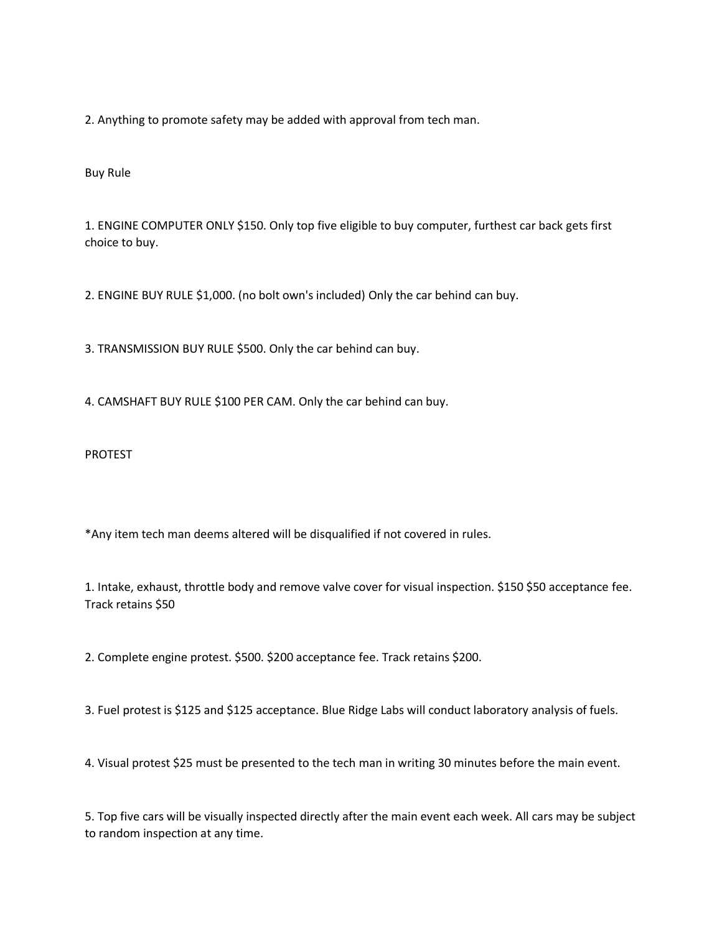2. Anything to promote safety may be added with approval from tech man.

Buy Rule

1. ENGINE COMPUTER ONLY \$150. Only top five eligible to buy computer, furthest car back gets first choice to buy.

2. ENGINE BUY RULE \$1,000. (no bolt own's included) Only the car behind can buy.

3. TRANSMISSION BUY RULE \$500. Only the car behind can buy.

4. CAMSHAFT BUY RULE \$100 PER CAM. Only the car behind can buy.

PROTEST

\*Any item tech man deems altered will be disqualified if not covered in rules.

1. Intake, exhaust, throttle body and remove valve cover for visual inspection. \$150 \$50 acceptance fee. Track retains \$50

2. Complete engine protest. \$500. \$200 acceptance fee. Track retains \$200.

3. Fuel protest is \$125 and \$125 acceptance. Blue Ridge Labs will conduct laboratory analysis of fuels.

4. Visual protest \$25 must be presented to the tech man in writing 30 minutes before the main event.

5. Top five cars will be visually inspected directly after the main event each week. All cars may be subject to random inspection at any time.